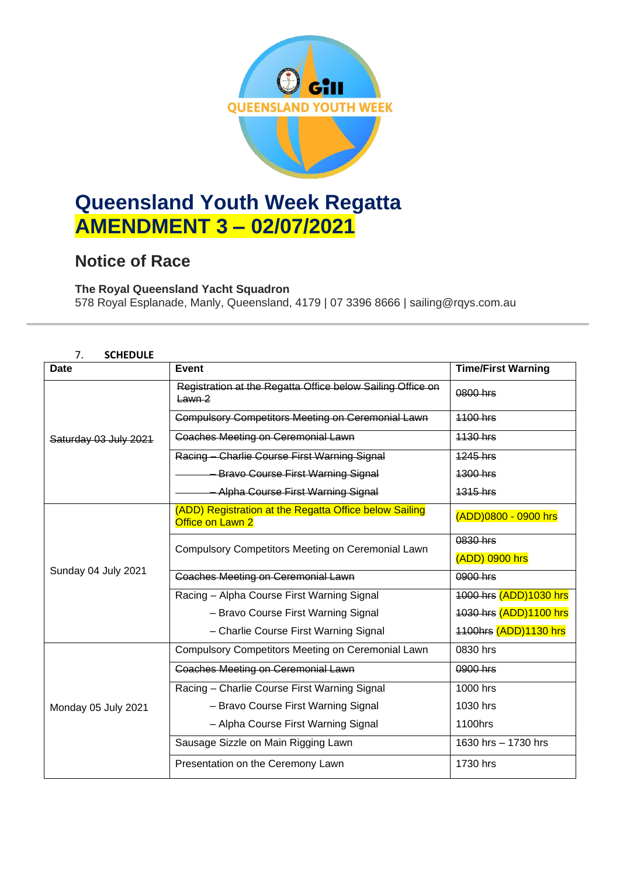

# **Queensland Youth Week Regatta AMENDMENT 3 – 02/07/2021**

## **Notice of Race**

### **The Royal Queensland Yacht Squadron**

578 Royal Esplanade, Manly, Queensland, 4179 | 07 3396 8666 | sailing@rqys.com.au

#### 7. **SCHEDULE**

| <b>Date</b>           | <b>Event</b>                                                               | <b>Time/First Warning</b>  |
|-----------------------|----------------------------------------------------------------------------|----------------------------|
| Saturday 03 July 2021 | Registration at the Regatta Office below Sailing Office on<br>$Lawn-2$     | 0800 hrs                   |
|                       | <b>Compulsory Competitors Meeting on Ceremonial Lawn</b>                   | <b>1100 hrs</b>            |
|                       | <b>Coaches Meeting on Ceremonial Lawn</b>                                  | 1130 hrs                   |
|                       | Racing - Charlie Course First Warning Signal                               | 1245 hrs                   |
|                       | <b>Bravo Course First Warning Signal</b>                                   | 1300 hrs                   |
|                       | <b>Alpha Course First Warning Signal</b>                                   | 1315 hrs                   |
| Sunday 04 July 2021   | (ADD) Registration at the Regatta Office below Sailing<br>Office on Lawn 2 | (ADD)0800 - 0900 hrs       |
|                       | Compulsory Competitors Meeting on Ceremonial Lawn                          | 0830 hrs<br>(ADD) 0900 hrs |
|                       | <b>Coaches Meeting on Ceremonial Lawn</b>                                  | 0900 hrs                   |
|                       | Racing - Alpha Course First Warning Signal                                 | 1000 hrs (ADD)1030 hrs     |
|                       | - Bravo Course First Warning Signal                                        | 1030 hrs (ADD)1100 hrs     |
|                       | - Charlie Course First Warning Signal                                      | 1100hrs (ADD)1130 hrs      |
| Monday 05 July 2021   | Compulsory Competitors Meeting on Ceremonial Lawn                          | 0830 hrs                   |
|                       | <b>Coaches Meeting on Ceremonial Lawn</b>                                  | 0900 hrs                   |
|                       | Racing - Charlie Course First Warning Signal                               | 1000 hrs                   |
|                       | - Bravo Course First Warning Signal                                        | 1030 hrs                   |
|                       | - Alpha Course First Warning Signal                                        | 1100hrs                    |
|                       | Sausage Sizzle on Main Rigging Lawn                                        | 1630 hrs - 1730 hrs        |
|                       | Presentation on the Ceremony Lawn                                          | 1730 hrs                   |